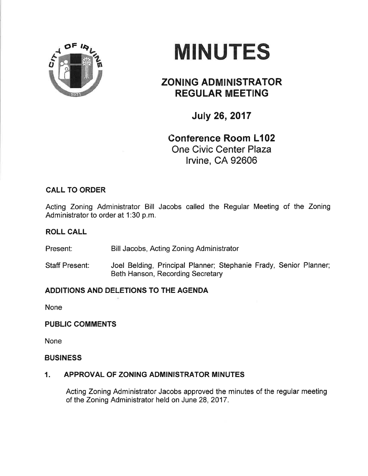

# **MINUTES**

# ZONING ADMINISTRATOR REGULAR MEETING

July 26,2017

# Conference Room L102 One Civic Center Plaza lrvine, CA 92606

## CALL TO ORDER

Acting Zoning Administrator Bill Jacobs called the Regular Meeting of the Zoning Administrator to order at 1:30 p.m.

### ROLL CALL

Present: Bill Jacobs, Acting Zoning Administrator

Staff Present: Joel Belding, Principal Planner; Stephanie Frady, Senior Planner; Beth Hanson, Recording Secretary

## ADDITIONS AND DELETIONS TO THE AGENDA

None

### PUBLIC COMMENTS

None

#### **BUSINESS**

### 1. APPROVAL OF ZONING ADMINISTRATOR MINUTES

Acting Zoning Administrator Jacobs approved the minutes of the regular meeting of the Zoning Administrator held on June 28,2017.